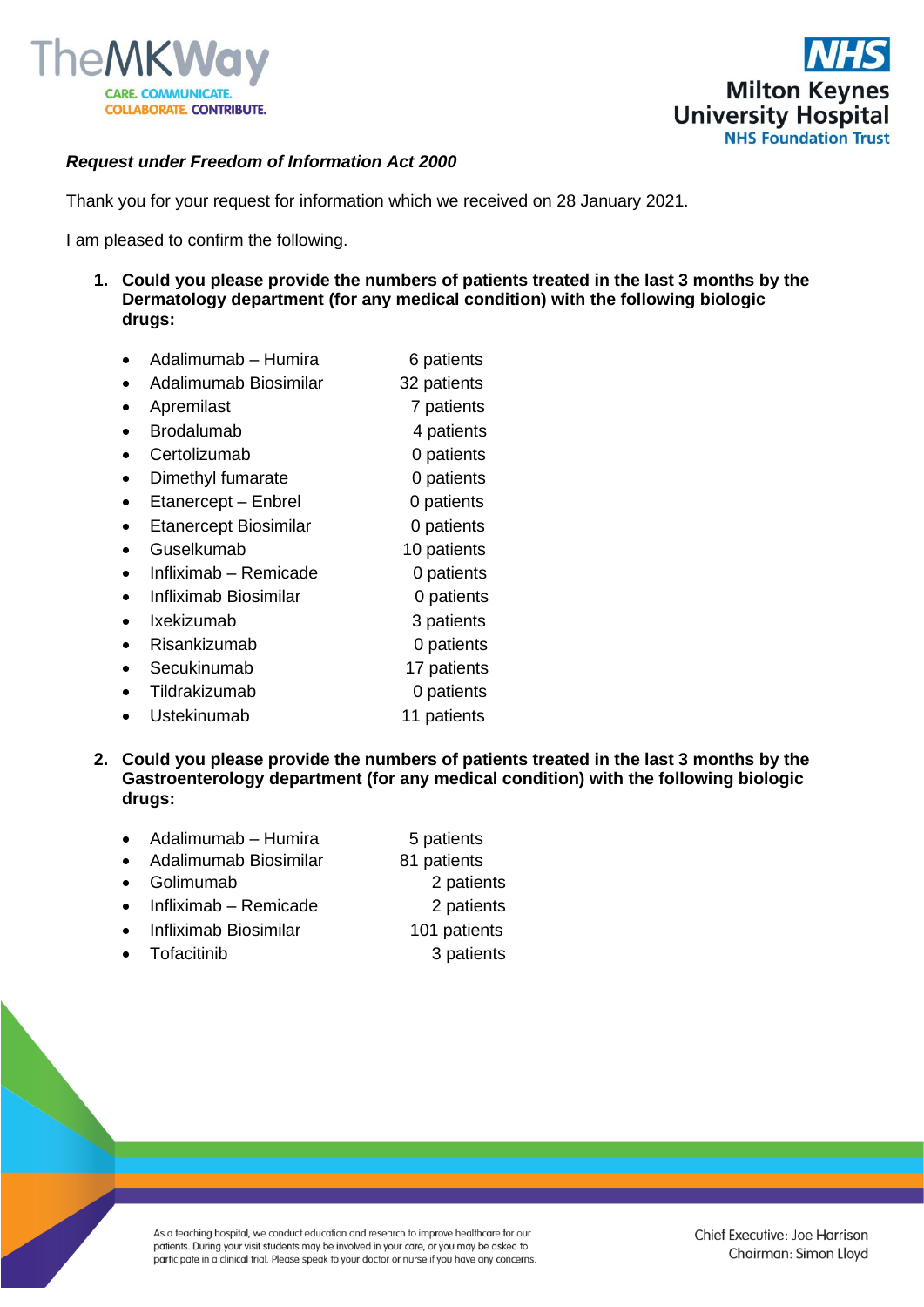



## *Request under Freedom of Information Act 2000*

Thank you for your request for information which we received on 28 January 2021.

I am pleased to confirm the following.

- **1. Could you please provide the numbers of patients treated in the last 3 months by the Dermatology department (for any medical condition) with the following biologic drugs:**
	- Adalimumab Humira 6 patients
	- Adalimumab Biosimilar 32 patients
	- Apremilast 7 patients
	- **Brodalumab** 4 patients
	- Certolizumab 0 patients
	- **Dimethyl fumarate** 0 patients
	- Etanercept Enbrel 0 patients
	- Etanercept Biosimilar 0 patients
	- Guselkumab 10 patients
	- Infliximab Remicade 0 patients
	- Infliximab Biosimilar 0 patients
	- Ixekizumab 3 patients
	- Risankizumab 0 patients
	- Secukinumab 17 patients
	- Tildrakizumab 0 patients
	- Ustekinumab 11 patients
- **2. Could you please provide the numbers of patients treated in the last 3 months by the Gastroenterology department (for any medical condition) with the following biologic drugs:**
	- Adalimumab Humira 5 patients
	- Adalimumab Biosimilar 81 patients
	- Golimumab 2 patients
	- Infliximab Remicade 2 patients
		- Infliximab Biosimilar 101 patients
	- Tofacitinib 3 patients

As a teaching hospital, we conduct education and research to improve healthcare for our patients. During your visit students may be involved in your care, or you may be asked to participate in a clinical trial. Please speak to your doctor or nurse if you have any concerns.